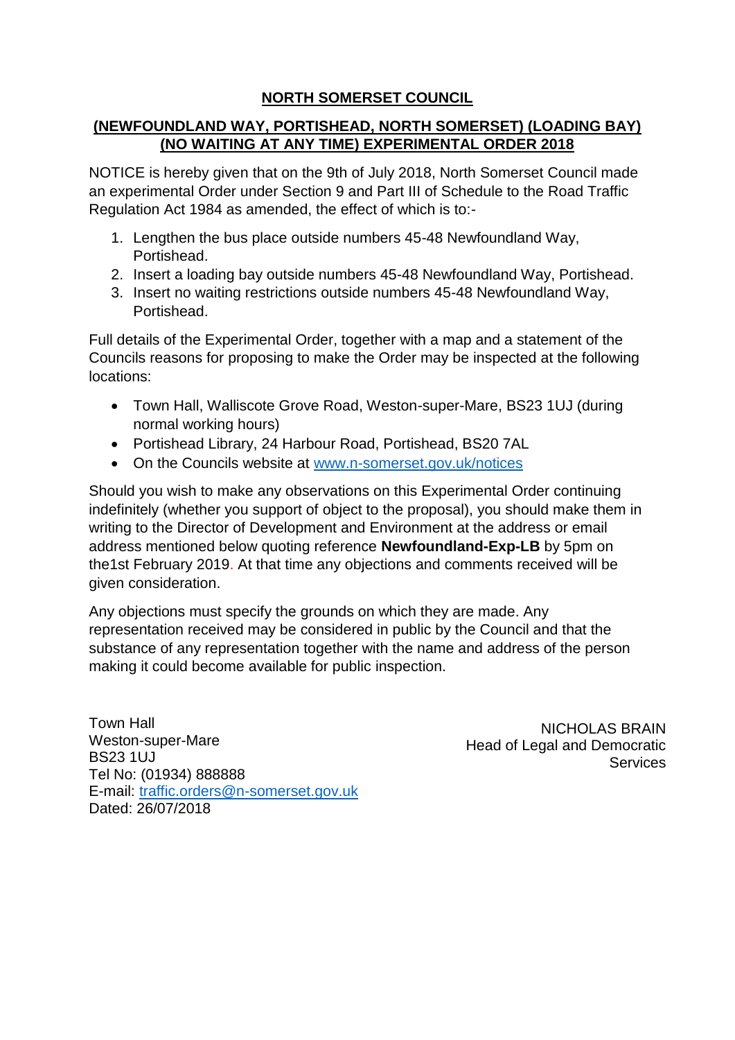# **NORTH SOMERSET COUNCIL**

### **(NEWFOUNDLAND WAY, PORTISHEAD, NORTH SOMERSET) (LOADING BAY) (NO WAITING AT ANY TIME) EXPERIMENTAL ORDER 2018**

NOTICE is hereby given that on the 9th of July 2018, North Somerset Council made an experimental Order under Section 9 and Part III of Schedule to the Road Traffic Regulation Act 1984 as amended, the effect of which is to:-

- 1. Lengthen the bus place outside numbers 45-48 Newfoundland Way, Portishead.
- 2. Insert a loading bay outside numbers 45-48 Newfoundland Way, Portishead.
- 3. Insert no waiting restrictions outside numbers 45-48 Newfoundland Way, Portishead.

Full details of the Experimental Order, together with a map and a statement of the Councils reasons for proposing to make the Order may be inspected at the following locations:

- Town Hall, Walliscote Grove Road, Weston-super-Mare, BS23 1UJ (during normal working hours)
- Portishead Library, 24 Harbour Road, Portishead, BS20 7AL
- On the Councils website at [www.n-somerset.gov.uk/notices](http://www.n-somerset.gov.uk/notices)

Should you wish to make any observations on this Experimental Order continuing indefinitely (whether you support of object to the proposal), you should make them in writing to the Director of Development and Environment at the address or email address mentioned below quoting reference **Newfoundland-Exp-LB** by 5pm on the1st February 2019. At that time any objections and comments received will be given consideration.

Any objections must specify the grounds on which they are made. Any representation received may be considered in public by the Council and that the substance of any representation together with the name and address of the person making it could become available for public inspection.

Town Hall Weston-super-Mare BS23 1UJ Tel No: (01934) 888888 E-mail: [traffic.orders@n-somerset.gov.uk](mailto:traffic.orders@n-somerset.gov.uk) Dated: 26/07/2018

NICHOLAS BRAIN Head of Legal and Democratic **Services**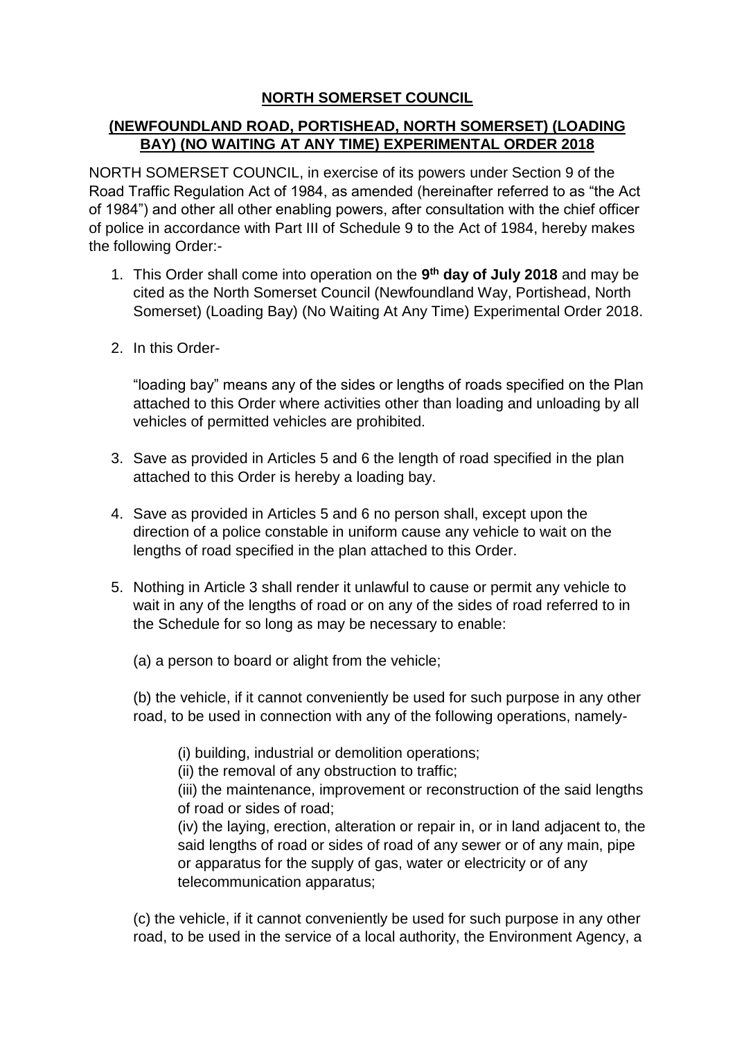# **NORTH SOMERSET COUNCIL**

# **(NEWFOUNDLAND ROAD, PORTISHEAD, NORTH SOMERSET) (LOADING BAY) (NO WAITING AT ANY TIME) EXPERIMENTAL ORDER 2018**

NORTH SOMERSET COUNCIL, in exercise of its powers under Section 9 of the Road Traffic Regulation Act of 1984, as amended (hereinafter referred to as "the Act of 1984") and other all other enabling powers, after consultation with the chief officer of police in accordance with Part III of Schedule 9 to the Act of 1984, hereby makes the following Order:-

- 1. This Order shall come into operation on the **9 th day of July 2018** and may be cited as the North Somerset Council (Newfoundland Way, Portishead, North Somerset) (Loading Bay) (No Waiting At Any Time) Experimental Order 2018.
- 2. In this Order-

"loading bay" means any of the sides or lengths of roads specified on the Plan attached to this Order where activities other than loading and unloading by all vehicles of permitted vehicles are prohibited.

- 3. Save as provided in Articles 5 and 6 the length of road specified in the plan attached to this Order is hereby a loading bay.
- 4. Save as provided in Articles 5 and 6 no person shall, except upon the direction of a police constable in uniform cause any vehicle to wait on the lengths of road specified in the plan attached to this Order.
- 5. Nothing in Article 3 shall render it unlawful to cause or permit any vehicle to wait in any of the lengths of road or on any of the sides of road referred to in the Schedule for so long as may be necessary to enable:
	- (a) a person to board or alight from the vehicle;

(b) the vehicle, if it cannot conveniently be used for such purpose in any other road, to be used in connection with any of the following operations, namely-

(i) building, industrial or demolition operations;

(ii) the removal of any obstruction to traffic;

(iii) the maintenance, improvement or reconstruction of the said lengths of road or sides of road;

(iv) the laying, erection, alteration or repair in, or in land adjacent to, the said lengths of road or sides of road of any sewer or of any main, pipe or apparatus for the supply of gas, water or electricity or of any telecommunication apparatus;

(c) the vehicle, if it cannot conveniently be used for such purpose in any other road, to be used in the service of a local authority, the Environment Agency, a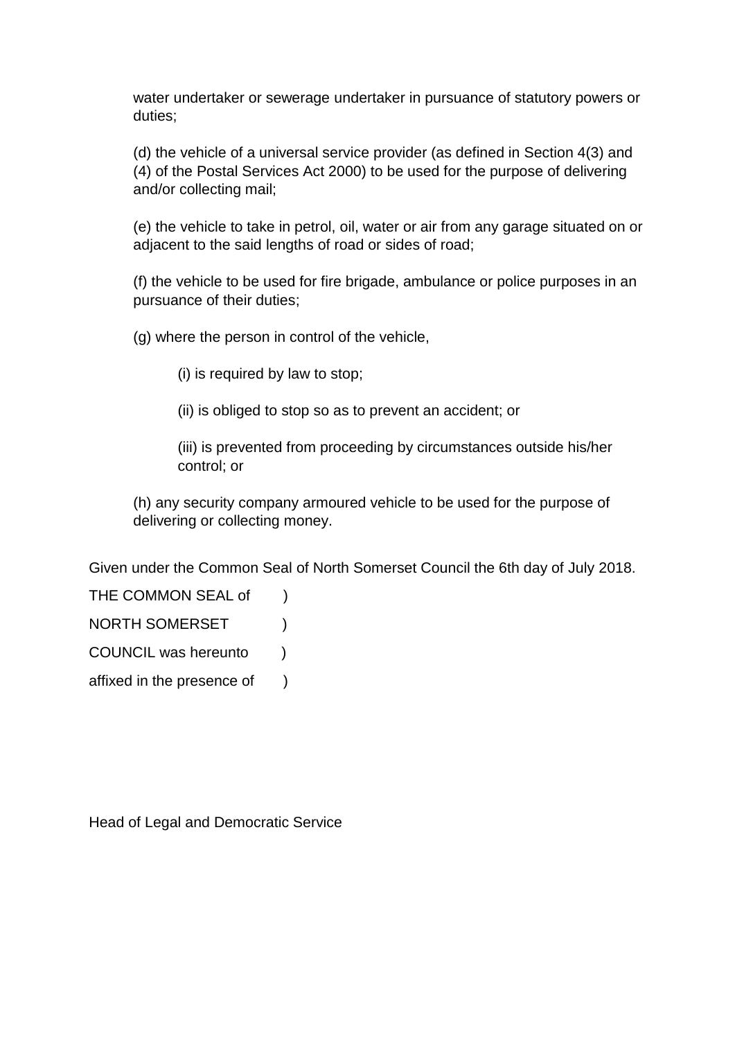water undertaker or sewerage undertaker in pursuance of statutory powers or duties;

(d) the vehicle of a universal service provider (as defined in Section 4(3) and (4) of the Postal Services Act 2000) to be used for the purpose of delivering and/or collecting mail;

(e) the vehicle to take in petrol, oil, water or air from any garage situated on or adjacent to the said lengths of road or sides of road;

(f) the vehicle to be used for fire brigade, ambulance or police purposes in an pursuance of their duties;

(g) where the person in control of the vehicle,

(i) is required by law to stop;

(ii) is obliged to stop so as to prevent an accident; or

(iii) is prevented from proceeding by circumstances outside his/her control; or

(h) any security company armoured vehicle to be used for the purpose of delivering or collecting money.

Given under the Common Seal of North Somerset Council the 6th day of July 2018.

THE COMMON SEAL of )

NORTH SOMERSET )

COUNCIL was hereunto )

affixed in the presence of )

Head of Legal and Democratic Service